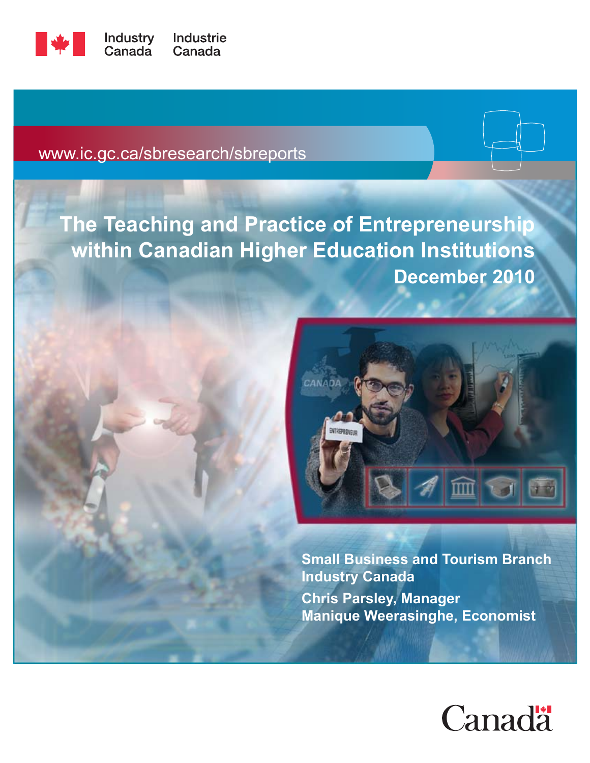

www.ic.gc.ca/sbresearch/sbreports

# **The Teaching and Practice of Entrepreneurship within Canadian Higher Education Institutions December 2010**



**Small Business and Tourism Branch Industry Canada Chris Parsley, Manager Manique Weerasinghe, Economist**

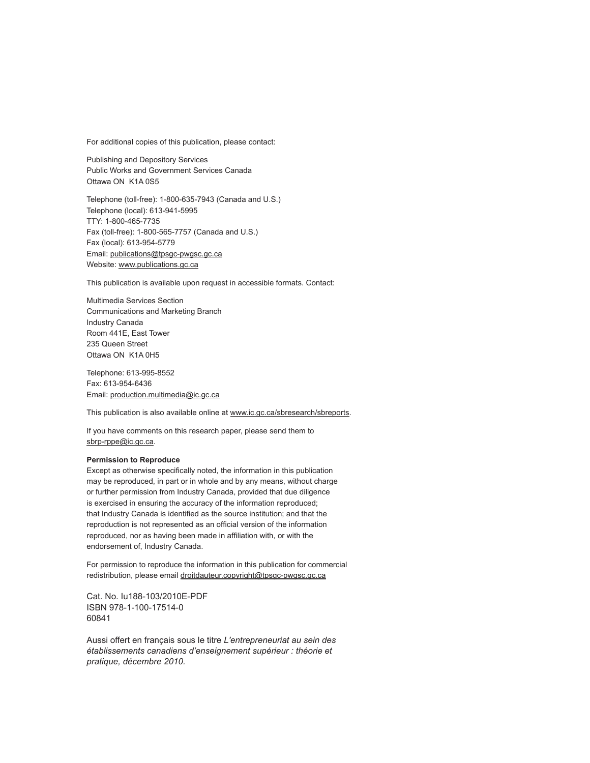For additional copies of this publication, please contact:

Publishing and Depository Services Public Works and Government Services Canada Ottawa ON K1A 0S5

Telephone (toll-free): 1-800-635-7943 (Canada and U.S.) Telephone (local): 613-941-5995 TTY: 1-800-465-7735 Fax (toll-free): 1-800-565-7757 (Canada and U.S.) Fax (local): 613-954-5779 Email: publications@tpsgc-pwgsc.gc.ca Website: www.publications.gc.ca

This publication is available upon request in accessible formats. Contact:

Multimedia Services Section Communications and Marketing Branch Industry Canada Room 441E, East Tower 235 Queen Street Ottawa ON K1A 0H5

Telephone: 613-995-8552 Fax: 613-954-6436 Email: production.multimedia@ic.gc.ca

This publication is also available online at www.ic.gc.ca/sbresearch/sbreports.

If you have comments on this research paper, please send them to sbrp-rppe@ic.gc.ca.

#### **Permission to Reproduce**

Except as otherwise specifically noted, the information in this publication may be reproduced, in part or in whole and by any means, without charge or further permission from Industry Canada, provided that due diligence is exercised in ensuring the accuracy of the information reproduced; that Industry Canada is identified as the source institution; and that the reproduction is not represented as an official version of the information reproduced, nor as having been made in affiliation with, or with the endorsement of, Industry Canada.

For permission to reproduce the information in this publication for commercial redistribution, please email droitdauteur.copyright@tpsgc-pwgsc.gc.ca

Cat. No. Iu188-103/2010E-PDF ISBN 978-1-100-17514-0 60841

Aussi offert en français sous le titre *L'entrepreneuriat au sein des établissements canadiens d'enseignement supérieur : théorie et pratique, décembre 2010.*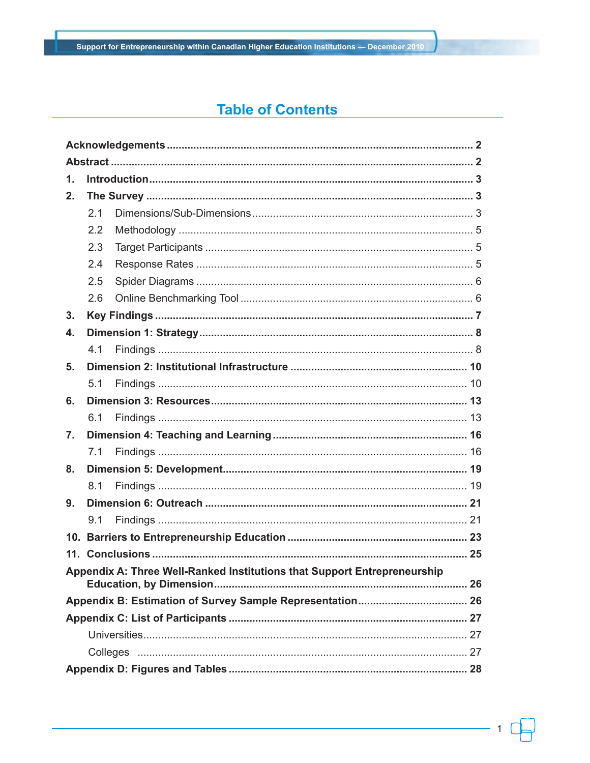# **Table of Contents**

| $\mathbf 1$ . |     |                                                                          |  |  |
|---------------|-----|--------------------------------------------------------------------------|--|--|
| 2.            |     |                                                                          |  |  |
|               | 2.1 |                                                                          |  |  |
|               | 2.2 |                                                                          |  |  |
|               | 2.3 |                                                                          |  |  |
|               | 2.4 |                                                                          |  |  |
|               | 2.5 |                                                                          |  |  |
|               | 2.6 |                                                                          |  |  |
| 3.            |     |                                                                          |  |  |
| 4.            |     |                                                                          |  |  |
|               | 4.1 |                                                                          |  |  |
| 5.            |     |                                                                          |  |  |
|               | 5.1 |                                                                          |  |  |
| 6.            |     |                                                                          |  |  |
|               | 6.1 |                                                                          |  |  |
| 7.            |     |                                                                          |  |  |
|               | 7.1 |                                                                          |  |  |
| 8.            |     |                                                                          |  |  |
|               | 8.1 |                                                                          |  |  |
| 9.            |     |                                                                          |  |  |
|               | 9.1 |                                                                          |  |  |
|               |     |                                                                          |  |  |
|               |     |                                                                          |  |  |
|               |     | Appendix A: Three Well-Ranked Institutions that Support Entrepreneurship |  |  |
|               |     |                                                                          |  |  |
|               |     |                                                                          |  |  |
|               |     |                                                                          |  |  |
|               |     |                                                                          |  |  |
|               |     |                                                                          |  |  |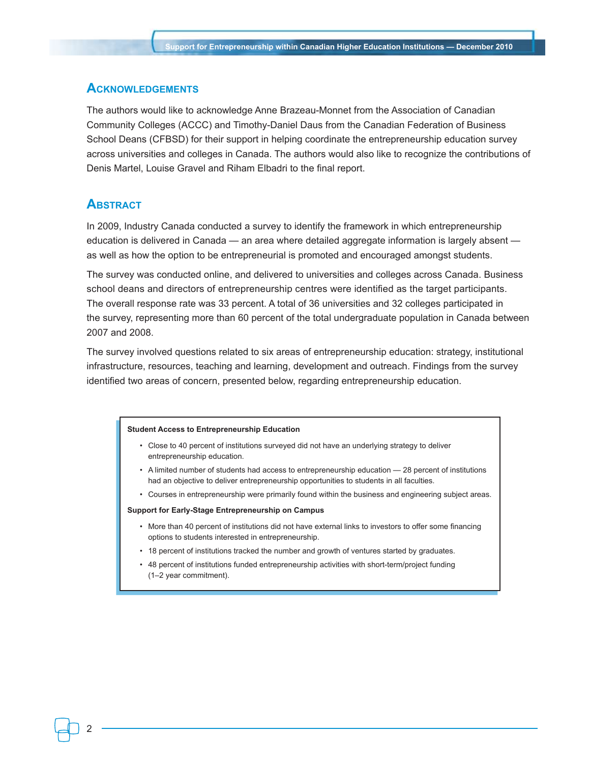### **Acknowledgements**

The authors would like to acknowledge Anne Brazeau-Monnet from the Association of Canadian Community Colleges (ACCC) and Timothy-Daniel Daus from the Canadian Federation of Business School Deans (CFBSD) for their support in helping coordinate the entrepreneurship education survey across universities and colleges in Canada. The authors would also like to recognize the contributions of Denis Martel, Louise Gravel and Riham Elbadri to the final report.

### **Abstract**

In 2009, Industry Canada conducted a survey to identify the framework in which entrepreneurship education is delivered in Canada — an area where detailed aggregate information is largely absent as well as how the option to be entrepreneurial is promoted and encouraged amongst students.

The survey was conducted online, and delivered to universities and colleges across Canada. Business school deans and directors of entrepreneurship centres were identified as the target participants. The overall response rate was 33 percent. A total of 36 universities and 32 colleges participated in the survey, representing more than 60 percent of the total undergraduate population in Canada between 2007 and 2008.

The survey involved questions related to six areas of entrepreneurship education: strategy, institutional infrastructure, resources, teaching and learning, development and outreach. Findings from the survey identified two areas of concern, presented below, regarding entrepreneurship education.

#### **Student Access to Entrepreneurship Education**

- Close to 40 percent of institutions surveyed did not have an underlying strategy to deliver entrepreneurship education.
- A limited number of students had access to entrepreneurship education 28 percent of institutions had an objective to deliver entrepreneurship opportunities to students in all faculties.
- Courses in entrepreneurship were primarily found within the business and engineering subject areas.

#### **Support for Early-Stage Entrepreneurship on Campus**

- More than 40 percent of institutions did not have external links to investors to offer some financing options to students interested in entrepreneurship.
- 18 percent of institutions tracked the number and growth of ventures started by graduates.
- 48 percent of institutions funded entrepreneurship activities with short-term/project funding (1–2 year commitment).

 $\mathfrak{p}$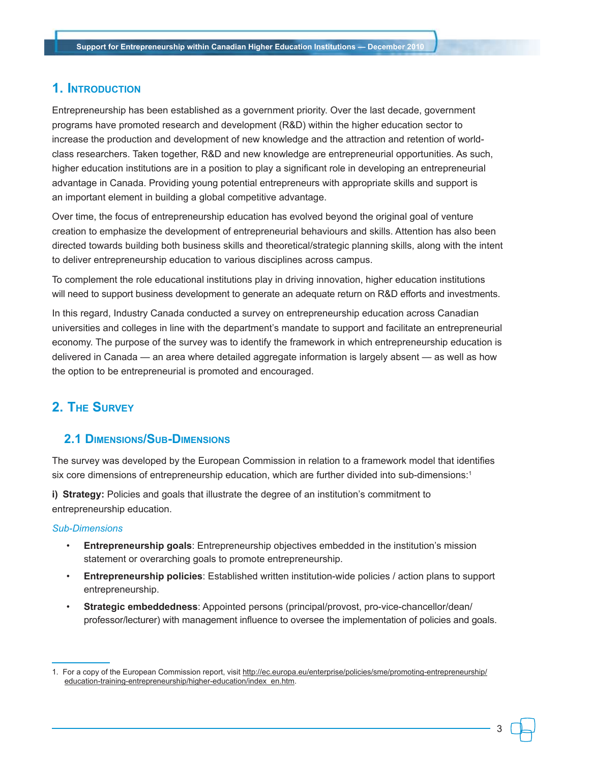# **1. Introduction**

Entrepreneurship has been established as a government priority. Over the last decade, government programs have promoted research and development (R&D) within the higher education sector to increase the production and development of new knowledge and the attraction and retention of worldclass researchers. Taken together, R&D and new knowledge are entrepreneurial opportunities. As such, higher education institutions are in a position to play a significant role in developing an entrepreneurial advantage in Canada. Providing young potential entrepreneurs with appropriate skills and support is an important element in building a global competitive advantage.

Over time, the focus of entrepreneurship education has evolved beyond the original goal of venture creation to emphasize the development of entrepreneurial behaviours and skills. Attention has also been directed towards building both business skills and theoretical/strategic planning skills, along with the intent to deliver entrepreneurship education to various disciplines across campus.

To complement the role educational institutions play in driving innovation, higher education institutions will need to support business development to generate an adequate return on R&D efforts and investments.

In this regard, Industry Canada conducted a survey on entrepreneurship education across Canadian universities and colleges in line with the department's mandate to support and facilitate an entrepreneurial economy. The purpose of the survey was to identify the framework in which entrepreneurship education is delivered in Canada — an area where detailed aggregate information is largely absent — as well as how the option to be entrepreneurial is promoted and encouraged.

# **2. The Survey**

## **2.1 Dimensions/Sub-Dimensions**

The survey was developed by the European Commission in relation to a framework model that identifies six core dimensions of entrepreneurship education, which are further divided into sub-dimensions:<sup>1</sup>

**i) Strategy:** Policies and goals that illustrate the degree of an institution's commitment to entrepreneurship education.

#### *Sub-Dimensions*

- **Entrepreneurship goals**: Entrepreneurship objectives embedded in the institution's mission statement or overarching goals to promote entrepreneurship.
- **Entrepreneurship policies**: Established written institution-wide policies / action plans to support entrepreneurship.
- **Strategic embeddedness**: Appointed persons (principal/provost, pro-vice-chancellor/dean/ professor/lecturer) with management influence to oversee the implementation of policies and goals.

<sup>1.</sup> For a copy of the European Commission report, visit http://ec.europa.eu/enterprise/policies/sme/promoting-entrepreneurship/ education-training-entrepreneurship/higher-education/index\_en.htm.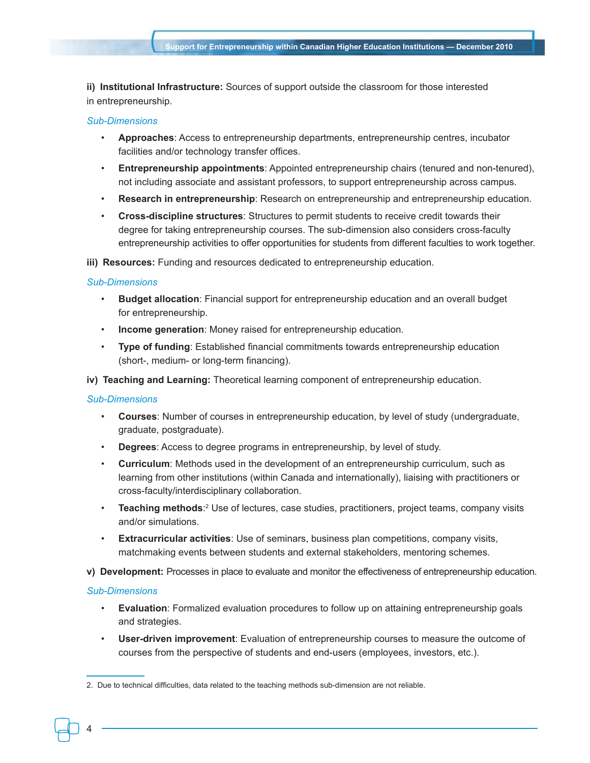**ii) Institutional Infrastructure:** Sources of support outside the classroom for those interested in entrepreneurship.

#### *Sub-Dimensions*

- **Approaches**: Access to entrepreneurship departments, entrepreneurship centres, incubator facilities and/or technology transfer offices.
- **Entrepreneurship appointments**: Appointed entrepreneurship chairs (tenured and non-tenured), not including associate and assistant professors, to support entrepreneurship across campus.
- **Research in entrepreneurship**: Research on entrepreneurship and entrepreneurship education.
- **Cross-discipline structures**: Structures to permit students to receive credit towards their degree for taking entrepreneurship courses. The sub-dimension also considers cross-faculty entrepreneurship activities to offer opportunities for students from different faculties to work together.

**iii) Resources:** Funding and resources dedicated to entrepreneurship education.

#### *Sub-Dimensions*

- **Budget allocation**: Financial support for entrepreneurship education and an overall budget for entrepreneurship.
- **Income generation**: Money raised for entrepreneurship education.
- **Type of funding**: Established financial commitments towards entrepreneurship education (short-, medium- or long-term financing).
- **iv) Teaching and Learning:** Theoretical learning component of entrepreneurship education.

#### *Sub-Dimensions*

- **Courses**: Number of courses in entrepreneurship education, by level of study (undergraduate, graduate, postgraduate).
- **Degrees**: Access to degree programs in entrepreneurship, by level of study.
- **Curriculum**: Methods used in the development of an entrepreneurship curriculum, such as learning from other institutions (within Canada and internationally), liaising with practitioners or cross-faculty/interdisciplinary collaboration.
- **Teaching methods**:<sup>2</sup> Use of lectures, case studies, practitioners, project teams, company visits and/or simulations.
- **Extracurricular activities**: Use of seminars, business plan competitions, company visits, matchmaking events between students and external stakeholders, mentoring schemes.
- **v) Development:** Processes in place to evaluate and monitor the effectiveness of entrepreneurship education.

### *Sub-Dimensions*

- **Evaluation**: Formalized evaluation procedures to follow up on attaining entrepreneurship goals and strategies.
- **User-driven improvement**: Evaluation of entrepreneurship courses to measure the outcome of courses from the perspective of students and end-users (employees, investors, etc.).

<sup>2.</sup> Due to technical difficulties, data related to the teaching methods sub-dimension are not reliable.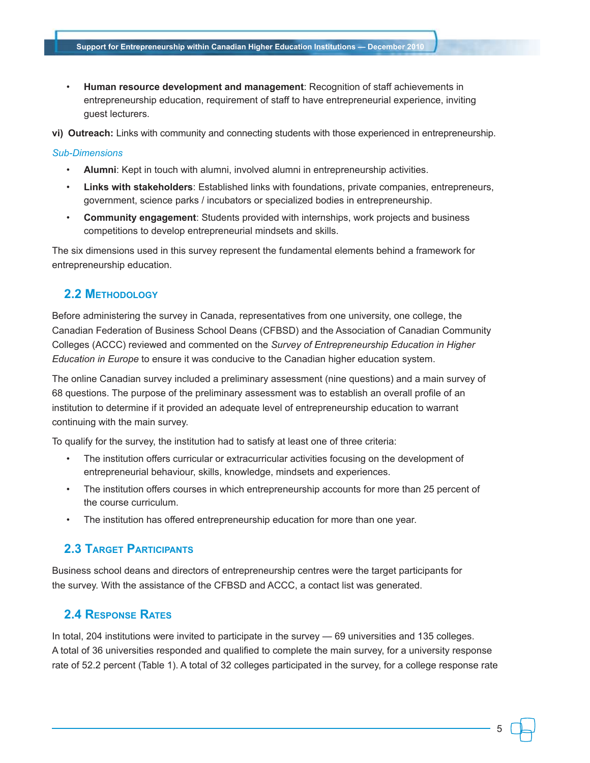• **Human resource development and management**: Recognition of staff achievements in entrepreneurship education, requirement of staff to have entrepreneurial experience, inviting guest lecturers.

**vi) Outreach:** Links with community and connecting students with those experienced in entrepreneurship.

### *Sub-Dimensions*

- **Alumni**: Kept in touch with alumni, involved alumni in entrepreneurship activities.
- **Links with stakeholders**: Established links with foundations, private companies, entrepreneurs, government, science parks / incubators or specialized bodies in entrepreneurship.
- **Community engagement**: Students provided with internships, work projects and business competitions to develop entrepreneurial mindsets and skills.

The six dimensions used in this survey represent the fundamental elements behind a framework for entrepreneurship education.

# **2.2 Methodology**

Before administering the survey in Canada, representatives from one university, one college, the Canadian Federation of Business School Deans (CFBSD) and the Association of Canadian Community Colleges (ACCC) reviewed and commented on the *Survey of Entrepreneurship Education in Higher Education in Europe* to ensure it was conducive to the Canadian higher education system.

The online Canadian survey included a preliminary assessment (nine questions) and a main survey of 68 questions. The purpose of the preliminary assessment was to establish an overall profile of an institution to determine if it provided an adequate level of entrepreneurship education to warrant continuing with the main survey.

To qualify for the survey, the institution had to satisfy at least one of three criteria:

- The institution offers curricular or extracurricular activities focusing on the development of entrepreneurial behaviour, skills, knowledge, mindsets and experiences.
- The institution offers courses in which entrepreneurship accounts for more than 25 percent of the course curriculum.
- The institution has offered entrepreneurship education for more than one year.

# **2.3 Target Participants**

Business school deans and directors of entrepreneurship centres were the target participants for the survey. With the assistance of the CFBSD and ACCC, a contact list was generated.

# **2.4 Response Rates**

In total, 204 institutions were invited to participate in the survey — 69 universities and 135 colleges. A total of 36 universities responded and qualified to complete the main survey, for a university response rate of 52.2 percent (Table 1). A total of 32 colleges participated in the survey, for a college response rate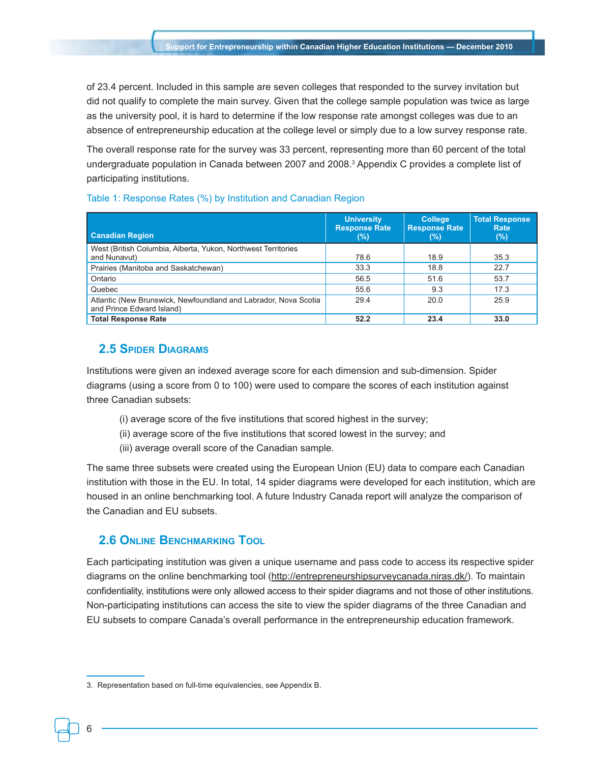of 23.4 percent. Included in this sample are seven colleges that responded to the survey invitation but did not qualify to complete the main survey. Given that the college sample population was twice as large as the university pool, it is hard to determine if the low response rate amongst colleges was due to an absence of entrepreneurship education at the college level or simply due to a low survey response rate.

The overall response rate for the survey was 33 percent, representing more than 60 percent of the total undergraduate population in Canada between 2007 and 2008.3 Appendix C provides a complete list of participating institutions.

| <b>Canadian Region</b>                                                                       | <b>University</b><br><b>Response Rate</b><br>(%) | <b>College</b><br><b>Response Rate</b><br>$(\%)$ | <b>Total Response</b><br>Rate<br>(%) |
|----------------------------------------------------------------------------------------------|--------------------------------------------------|--------------------------------------------------|--------------------------------------|
| West (British Columbia, Alberta, Yukon, Northwest Territories<br>and Nunavut)                | 78.6                                             | 18.9                                             | 35.3                                 |
| Prairies (Manitoba and Saskatchewan)                                                         | 33.3                                             | 18.8                                             | 22.7                                 |
| Ontario                                                                                      | 56.5                                             | 51.6                                             | 53.7                                 |
| Quebec                                                                                       | 55.6                                             | 9.3                                              | 17.3                                 |
| Atlantic (New Brunswick, Newfoundland and Labrador, Nova Scotia<br>and Prince Edward Island) | 29.4                                             | 20.0                                             | 25.9                                 |
| <b>Total Response Rate</b>                                                                   | 52.2                                             | 23.4                                             | 33.0                                 |

### Table 1: Response Rates (%) by Institution and Canadian Region

### **2.5 Spider Diagrams**

Institutions were given an indexed average score for each dimension and sub-dimension. Spider diagrams (using a score from 0 to 100) were used to compare the scores of each institution against three Canadian subsets:

- (i) average score of the five institutions that scored highest in the survey;
- (ii) average score of the five institutions that scored lowest in the survey; and
- (iii) average overall score of the Canadian sample.

The same three subsets were created using the European Union (EU) data to compare each Canadian institution with those in the EU. In total, 14 spider diagrams were developed for each institution, which are housed in an online benchmarking tool. A future Industry Canada report will analyze the comparison of the Canadian and EU subsets.

## **2.6 Online Benchmarking Tool**

Each participating institution was given a unique username and pass code to access its respective spider diagrams on the online benchmarking tool (http://entrepreneurshipsurveycanada.niras.dk/). To maintain confidentiality, institutions were only allowed access to their spider diagrams and not those of other institutions. Non-participating institutions can access the site to view the spider diagrams of the three Canadian and EU subsets to compare Canada's overall performance in the entrepreneurship education framework.

<sup>3.</sup> Representation based on full-time equivalencies, see Appendix B.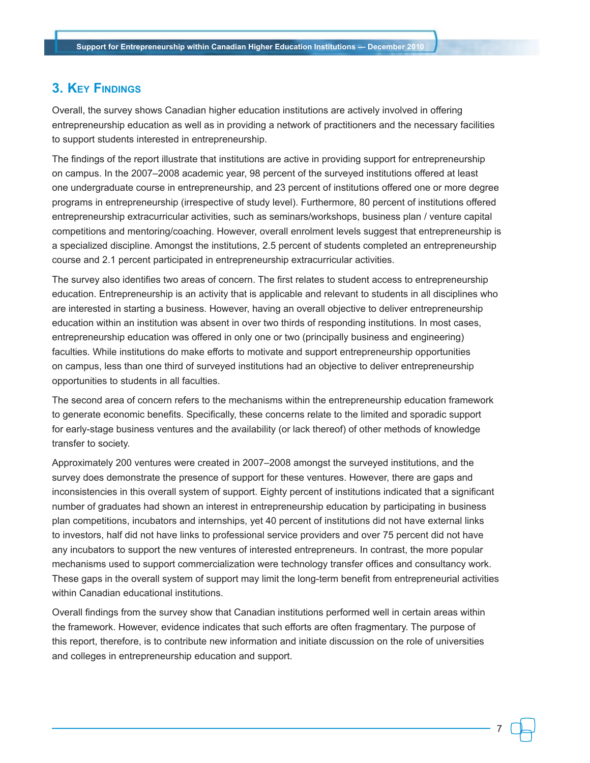# **3. Key Findings**

Overall, the survey shows Canadian higher education institutions are actively involved in offering entrepreneurship education as well as in providing a network of practitioners and the necessary facilities to support students interested in entrepreneurship.

The findings of the report illustrate that institutions are active in providing support for entrepreneurship on campus. In the 2007–2008 academic year, 98 percent of the surveyed institutions offered at least one undergraduate course in entrepreneurship, and 23 percent of institutions offered one or more degree programs in entrepreneurship (irrespective of study level). Furthermore, 80 percent of institutions offered entrepreneurship extracurricular activities, such as seminars/workshops, business plan / venture capital competitions and mentoring/coaching. However, overall enrolment levels suggest that entrepreneurship is a specialized discipline. Amongst the institutions, 2.5 percent of students completed an entrepreneurship course and 2.1 percent participated in entrepreneurship extracurricular activities.

The survey also identifies two areas of concern. The first relates to student access to entrepreneurship education. Entrepreneurship is an activity that is applicable and relevant to students in all disciplines who are interested in starting a business. However, having an overall objective to deliver entrepreneurship education within an institution was absent in over two thirds of responding institutions. In most cases, entrepreneurship education was offered in only one or two (principally business and engineering) faculties. While institutions do make efforts to motivate and support entrepreneurship opportunities on campus, less than one third of surveyed institutions had an objective to deliver entrepreneurship opportunities to students in all faculties.

The second area of concern refers to the mechanisms within the entrepreneurship education framework to generate economic benefits. Specifically, these concerns relate to the limited and sporadic support for early-stage business ventures and the availability (or lack thereof) of other methods of knowledge transfer to society.

Approximately 200 ventures were created in 2007–2008 amongst the surveyed institutions, and the survey does demonstrate the presence of support for these ventures. However, there are gaps and inconsistencies in this overall system of support. Eighty percent of institutions indicated that a significant number of graduates had shown an interest in entrepreneurship education by participating in business plan competitions, incubators and internships, yet 40 percent of institutions did not have external links to investors, half did not have links to professional service providers and over 75 percent did not have any incubators to support the new ventures of interested entrepreneurs. In contrast, the more popular mechanisms used to support commercialization were technology transfer offices and consultancy work. These gaps in the overall system of support may limit the long-term benefit from entrepreneurial activities within Canadian educational institutions.

Overall findings from the survey show that Canadian institutions performed well in certain areas within the framework. However, evidence indicates that such efforts are often fragmentary. The purpose of this report, therefore, is to contribute new information and initiate discussion on the role of universities and colleges in entrepreneurship education and support.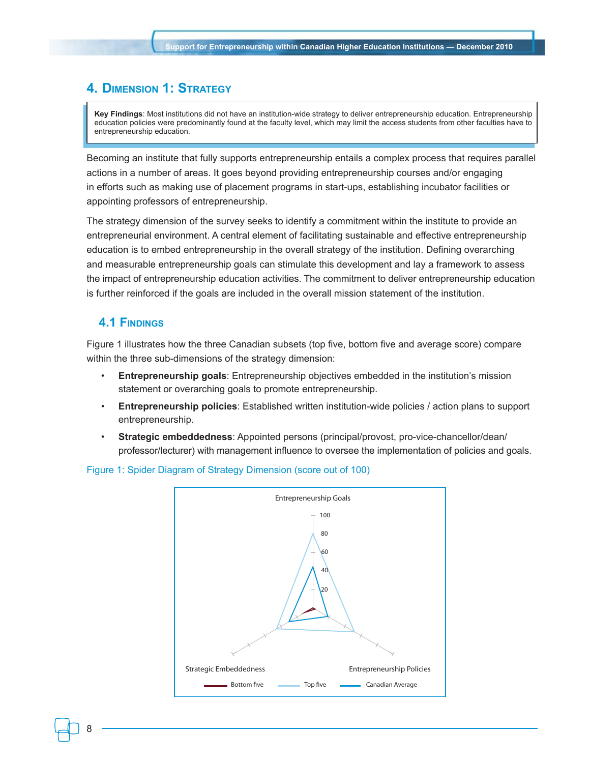# **4. Dimension 1: Strategy**

**Key Findings**: Most institutions did not have an institution-wide strategy to deliver entrepreneurship education. Entrepreneurship education policies were predominantly found at the faculty level, which may limit the access students from other faculties have to entrepreneurship education.

Becoming an institute that fully supports entrepreneurship entails a complex process that requires parallel actions in a number of areas. It goes beyond providing entrepreneurship courses and/or engaging in efforts such as making use of placement programs in start-ups, establishing incubator facilities or appointing professors of entrepreneurship.

The strategy dimension of the survey seeks to identify a commitment within the institute to provide an entrepreneurial environment. A central element of facilitating sustainable and effective entrepreneurship education is to embed entrepreneurship in the overall strategy of the institution. Defining overarching and measurable entrepreneurship goals can stimulate this development and lay a framework to assess the impact of entrepreneurship education activities. The commitment to deliver entrepreneurship education is further reinforced if the goals are included in the overall mission statement of the institution.

### **4.1 Findings**

Figure 1 illustrates how the three Canadian subsets (top five, bottom five and average score) compare within the three sub-dimensions of the strategy dimension:

- **Entrepreneurship goals**: Entrepreneurship objectives embedded in the institution's mission statement or overarching goals to promote entrepreneurship.
- **Entrepreneurship policies**: Established written institution-wide policies / action plans to support entrepreneurship.
- **Strategic embeddedness**: Appointed persons (principal/provost, pro-vice-chancellor/dean/ professor/lecturer) with management influence to oversee the implementation of policies and goals.



### Figure 1: Spider Diagram of Strategy Dimension (score out of 100)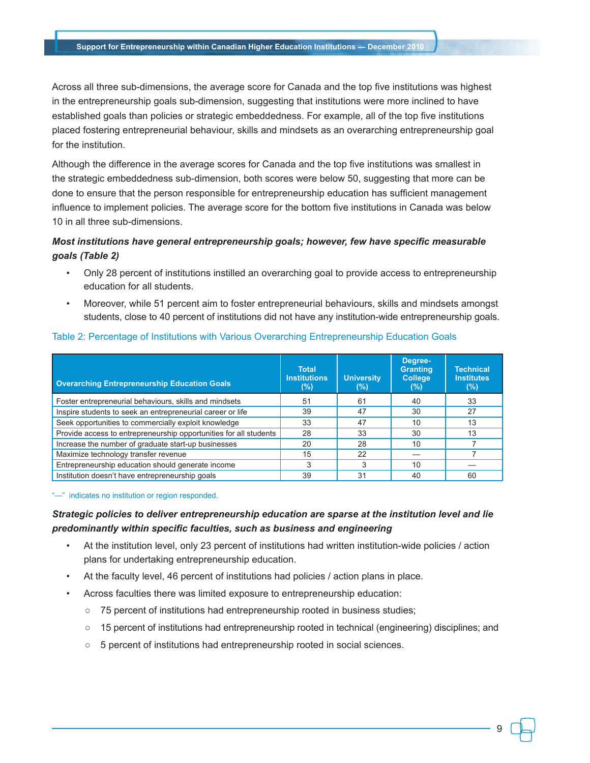Across all three sub-dimensions, the average score for Canada and the top five institutions was highest in the entrepreneurship goals sub-dimension, suggesting that institutions were more inclined to have established goals than policies or strategic embeddedness. For example, all of the top five institutions placed fostering entrepreneurial behaviour, skills and mindsets as an overarching entrepreneurship goal for the institution.

Although the difference in the average scores for Canada and the top five institutions was smallest in the strategic embeddedness sub-dimension, both scores were below 50, suggesting that more can be done to ensure that the person responsible for entrepreneurship education has sufficient management influence to implement policies. The average score for the bottom five institutions in Canada was below 10 in all three sub-dimensions.

## *Most institutions have general entrepreneurship goals; however, few have specific measurable goals (Table 2)*

- Only 28 percent of institutions instilled an overarching goal to provide access to entrepreneurship education for all students.
- Moreover, while 51 percent aim to foster entrepreneurial behaviours, skills and mindsets amongst students, close to 40 percent of institutions did not have any institution-wide entrepreneurship goals.

| <b>Overarching Entrepreneurship Education Goals</b>               | <b>Total</b><br><b>Institutions</b><br>(%) | <b>University</b><br>(%) | Degree-<br><b>Granting</b><br><b>College</b><br>$(\%)$ | <b>Technical</b><br><b>Institutes</b><br>$(\%)$ |
|-------------------------------------------------------------------|--------------------------------------------|--------------------------|--------------------------------------------------------|-------------------------------------------------|
| Foster entrepreneurial behaviours, skills and mindsets            | 51                                         | 61                       | 40                                                     | 33                                              |
| Inspire students to seek an entrepreneurial career or life        | 39                                         | 47                       | 30                                                     | 27                                              |
| Seek opportunities to commercially exploit knowledge              | 33                                         | 47                       | 10                                                     | 13                                              |
| Provide access to entrepreneurship opportunities for all students | 28                                         | 33                       | 30                                                     | 13                                              |
| Increase the number of graduate start-up businesses               | 20                                         | 28                       | 10                                                     |                                                 |
| Maximize technology transfer revenue                              | 15                                         | 22                       |                                                        |                                                 |
| Entrepreneurship education should generate income                 | 3                                          | 3                        | 10                                                     |                                                 |
| Institution doesn't have entrepreneurship goals                   | 39                                         | 31                       | 40                                                     | 60                                              |

### Table 2: Percentage of Institutions with Various Overarching Entrepreneurship Education Goals

"-" indicates no institution or region responded.

## *Strategic policies to deliver entrepreneurship education are sparse at the institution level and lie predominantly within specific faculties, such as business and engineering*

- At the institution level, only 23 percent of institutions had written institution-wide policies / action plans for undertaking entrepreneurship education.
- At the faculty level, 46 percent of institutions had policies / action plans in place.
- Across faculties there was limited exposure to entrepreneurship education:
	- 75 percent of institutions had entrepreneurship rooted in business studies;
	- 15 percent of institutions had entrepreneurship rooted in technical (engineering) disciplines; and
	- 5 percent of institutions had entrepreneurship rooted in social sciences.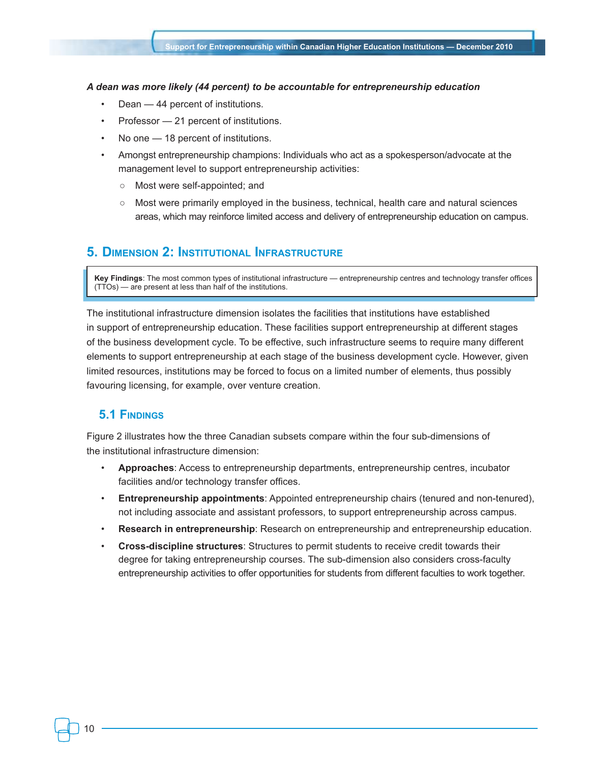#### *A dean was more likely (44 percent) to be accountable for entrepreneurship education*

- Dean 44 percent of institutions.
- Professor 21 percent of institutions.
- No one 18 percent of institutions.
- Amongst entrepreneurship champions: Individuals who act as a spokesperson/advocate at the management level to support entrepreneurship activities:
	- Most were self-appointed; and
	- Most were primarily employed in the business, technical, health care and natural sciences areas, which may reinforce limited access and delivery of entrepreneurship education on campus.

# **5. Dimension 2: Institutional Infrastructure**

**Key Findings**: The most common types of institutional infrastructure — entrepreneurship centres and technology transfer offices (TTOs) — are present at less than half of the institutions.

The institutional infrastructure dimension isolates the facilities that institutions have established in support of entrepreneurship education. These facilities support entrepreneurship at different stages of the business development cycle. To be effective, such infrastructure seems to require many different elements to support entrepreneurship at each stage of the business development cycle. However, given limited resources, institutions may be forced to focus on a limited number of elements, thus possibly favouring licensing, for example, over venture creation.

# **5.1 Findings**

Figure 2 illustrates how the three Canadian subsets compare within the four sub-dimensions of the institutional infrastructure dimension:

- **Approaches**: Access to entrepreneurship departments, entrepreneurship centres, incubator facilities and/or technology transfer offices.
- **Entrepreneurship appointments**: Appointed entrepreneurship chairs (tenured and non-tenured), not including associate and assistant professors, to support entrepreneurship across campus.
- **Research in entrepreneurship**: Research on entrepreneurship and entrepreneurship education.
- **Cross-discipline structures**: Structures to permit students to receive credit towards their degree for taking entrepreneurship courses. The sub-dimension also considers cross-faculty entrepreneurship activities to offer opportunities for students from different faculties to work together.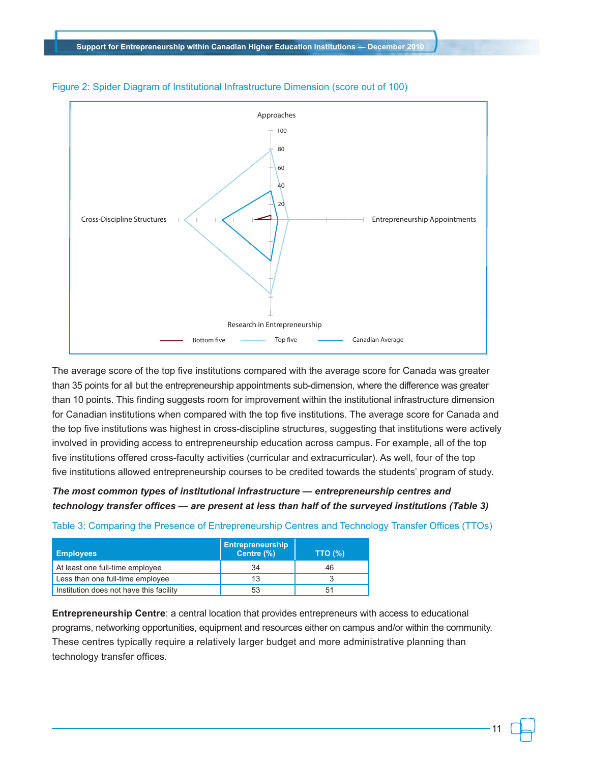

#### Figure 2: Spider Diagram of Institutional Infrastructure Dimension (score out of 100)

The average score of the top five institutions compared with the average score for Canada was greater than 35 points for all but the entrepreneurship appointments sub-dimension, where the difference was greater than 10 points. This finding suggests room for improvement within the institutional infrastructure dimension for Canadian institutions when compared with the top five institutions. The average score for Canada and the top five institutions was highest in cross-discipline structures, suggesting that institutions were actively involved in providing access to entrepreneurship education across campus. For example, all of the top five institutions offered cross-faculty activities (curricular and extracurricular). As well, four of the top five institutions allowed entrepreneurship courses to be credited towards the students' program of study.

# *The most common types of institutional infrastructure — entrepreneurship centres and technology transfer offices — are present at less than half of the surveyed institutions (Table 3)*

| <b>Employees</b>                        | <b>Entrepreneurship</b><br>Centre (%) | <b>TTO (%)</b> |
|-----------------------------------------|---------------------------------------|----------------|
| At least one full-time employee         | 34                                    | 46             |
| Less than one full-time employee        | 13                                    |                |
| Institution does not have this facility | 53                                    | 51             |

Table 3: Comparing the Presence of Entrepreneurship Centres and Technology Transfer Offices (TTOs)

**Entrepreneurship Centre**: a central location that provides entrepreneurs with access to educational programs, networking opportunities, equipment and resources either on campus and/or within the community. These centres typically require a relatively larger budget and more administrative planning than technology transfer offices.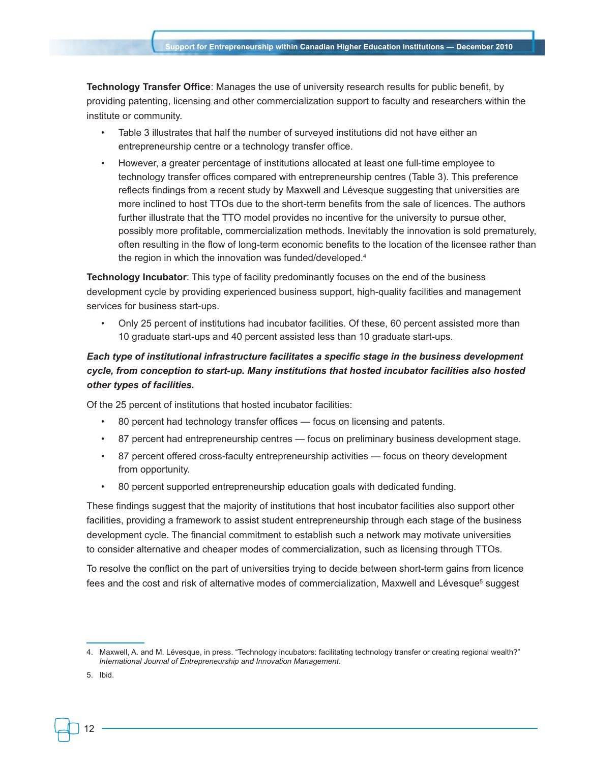**Technology Transfer Office**: Manages the use of university research results for public benefit, by providing patenting, licensing and other commercialization support to faculty and researchers within the institute or community.

- Table 3 illustrates that half the number of surveyed institutions did not have either an entrepreneurship centre or a technology transfer office.
- However, a greater percentage of institutions allocated at least one full-time employee to technology transfer offices compared with entrepreneurship centres (Table 3). This preference reflects findings from a recent study by Maxwell and Lévesque suggesting that universities are more inclined to host TTOs due to the short-term benefits from the sale of licences. The authors further illustrate that the TTO model provides no incentive for the university to pursue other, possibly more profitable, commercialization methods. Inevitably the innovation is sold prematurely, often resulting in the flow of long-term economic benefits to the location of the licensee rather than the region in which the innovation was funded/developed.<sup>4</sup>

**Technology Incubator**: This type of facility predominantly focuses on the end of the business development cycle by providing experienced business support, high-quality facilities and management services for business start-ups.

• Only 25 percent of institutions had incubator facilities. Of these, 60 percent assisted more than 10 graduate start-ups and 40 percent assisted less than 10 graduate start-ups.

# *Each type of institutional infrastructure facilitates a specific stage in the business development cycle, from conception to start-up. Many institutions that hosted incubator facilities also hosted other types of facilities.*

Of the 25 percent of institutions that hosted incubator facilities:

- 80 percent had technology transfer offices focus on licensing and patents.
- 87 percent had entrepreneurship centres focus on preliminary business development stage.
- 87 percent offered cross-faculty entrepreneurship activities focus on theory development from opportunity.
- 80 percent supported entrepreneurship education goals with dedicated funding.

These findings suggest that the majority of institutions that host incubator facilities also support other facilities, providing a framework to assist student entrepreneurship through each stage of the business development cycle. The financial commitment to establish such a network may motivate universities to consider alternative and cheaper modes of commercialization, such as licensing through TTOs.

To resolve the conflict on the part of universities trying to decide between short-term gains from licence fees and the cost and risk of alternative modes of commercialization, Maxwell and Lévesque<sup>s</sup> suggest

5. Ibid.

<sup>4.</sup> Maxwell, A. and M. Lévesque, in press. "Technology incubators: facilitating technology transfer or creating regional wealth?" *International Journal of Entrepreneurship and Innovation Management*.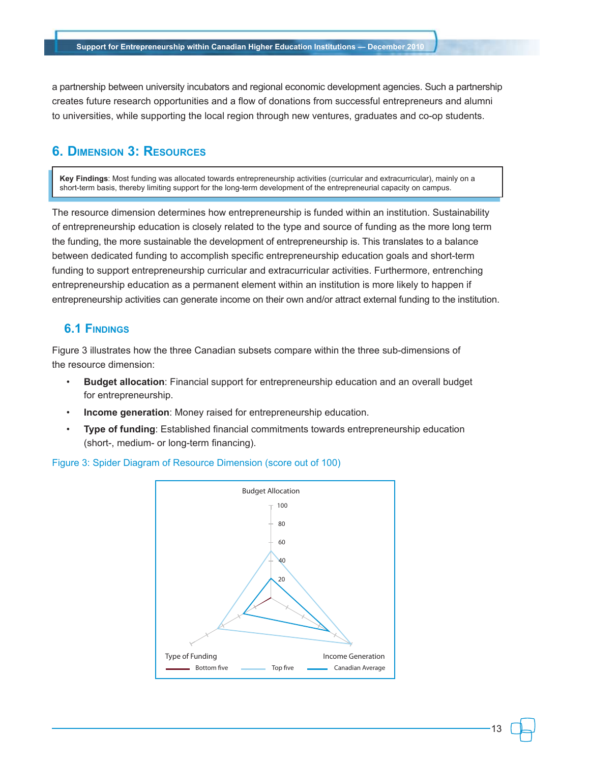a partnership between university incubators and regional economic development agencies. Such a partnership creates future research opportunities and a flow of donations from successful entrepreneurs and alumni to universities, while supporting the local region through new ventures, graduates and co-op students.

# **6. Dimension 3: Resources**

**Key Findings**: Most funding was allocated towards entrepreneurship activities (curricular and extracurricular), mainly on a short-term basis, thereby limiting support for the long-term development of the entrepreneurial capacity on campus.

The resource dimension determines how entrepreneurship is funded within an institution. Sustainability of entrepreneurship education is closely related to the type and source of funding as the more long term the funding, the more sustainable the development of entrepreneurship is. This translates to a balance between dedicated funding to accomplish specific entrepreneurship education goals and short-term funding to support entrepreneurship curricular and extracurricular activities. Furthermore, entrenching entrepreneurship education as a permanent element within an institution is more likely to happen if entrepreneurship activities can generate income on their own and/or attract external funding to the institution.

# **6.1 Findings**

Figure 3 illustrates how the three Canadian subsets compare within the three sub-dimensions of the resource dimension:

- **Budget allocation**: Financial support for entrepreneurship education and an overall budget for entrepreneurship.
- **Income generation**: Money raised for entrepreneurship education.
- **Type of funding**: Established financial commitments towards entrepreneurship education (short-, medium- or long-term financing).

Figure 3: Spider Diagram of Resource Dimension (score out of 100)

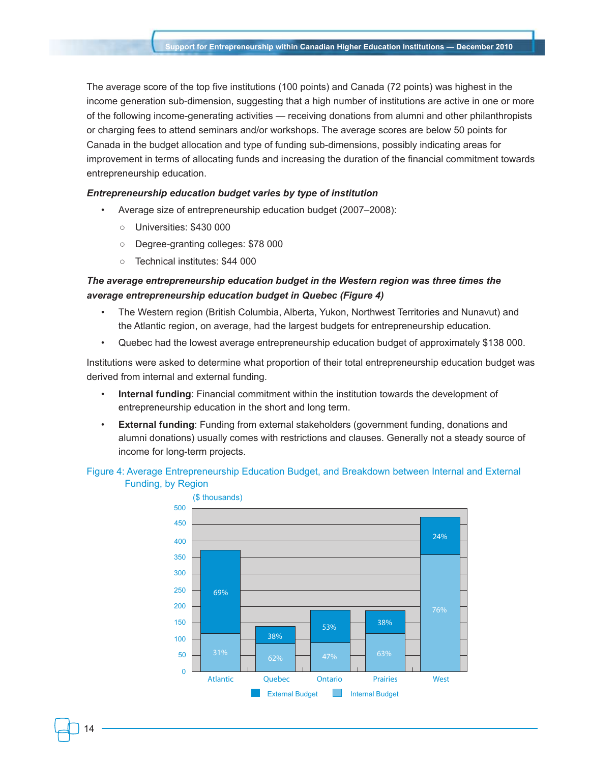The average score of the top five institutions (100 points) and Canada (72 points) was highest in the income generation sub-dimension, suggesting that a high number of institutions are active in one or more of the following income-generating activities — receiving donations from alumni and other philanthropists or charging fees to attend seminars and/or workshops. The average scores are below 50 points for Canada in the budget allocation and type of funding sub-dimensions, possibly indicating areas for improvement in terms of allocating funds and increasing the duration of the financial commitment towards entrepreneurship education.

#### *Entrepreneurship education budget varies by type of institution*

- Average size of entrepreneurship education budget (2007–2008):
	- Universities: \$430 000
	- Degree-granting colleges: \$78 000
	- Technical institutes: \$44 000

### *The average entrepreneurship education budget in the Western region was three times the average entrepreneurship education budget in Quebec (Figure 4)*

- The Western region (British Columbia, Alberta, Yukon, Northwest Territories and Nunavut) and the Atlantic region, on average, had the largest budgets for entrepreneurship education.
- Quebec had the lowest average entrepreneurship education budget of approximately \$138 000.

Institutions were asked to determine what proportion of their total entrepreneurship education budget was derived from internal and external funding.

- **Internal funding**: Financial commitment within the institution towards the development of entrepreneurship education in the short and long term.
- **External funding**: Funding from external stakeholders (government funding, donations and alumni donations) usually comes with restrictions and clauses. Generally not a steady source of income for long-term projects.

### Figure 4: Average Entrepreneurship Education Budget, and Breakdown between Internal and External Funding, by Region

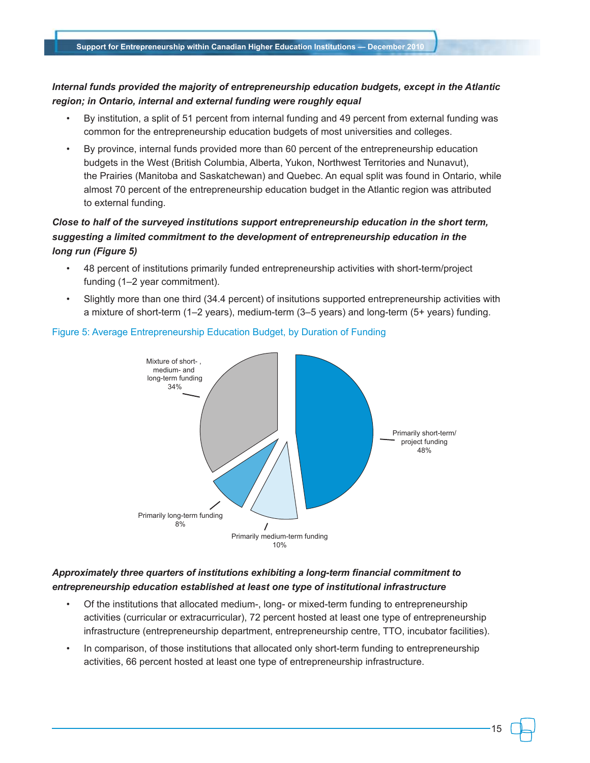## *Internal funds provided the majority of entrepreneurship education budgets, except in the Atlantic region; in Ontario, internal and external funding were roughly equal*

- By institution, a split of 51 percent from internal funding and 49 percent from external funding was common for the entrepreneurship education budgets of most universities and colleges.
- By province, internal funds provided more than 60 percent of the entrepreneurship education budgets in the West (British Columbia, Alberta, Yukon, Northwest Territories and Nunavut), the Prairies (Manitoba and Saskatchewan) and Quebec. An equal split was found in Ontario, while almost 70 percent of the entrepreneurship education budget in the Atlantic region was attributed to external funding.

# *Close to half of the surveyed institutions support entrepreneurship education in the short term, suggesting a limited commitment to the development of entrepreneurship education in the long run (Figure 5)*

- 48 percent of institutions primarily funded entrepreneurship activities with short-term/project funding (1–2 year commitment).
- Slightly more than one third (34.4 percent) of insitutions supported entrepreneurship activities with a mixture of short-term (1–2 years), medium-term (3–5 years) and long-term (5+ years) funding.



### Figure 5: Average Entrepreneurship Education Budget, by Duration of Funding

## *Approximately three quarters of institutions exhibiting a long-term financial commitment to entrepreneurship education established at least one type of institutional infrastructure*

- Of the institutions that allocated medium-, long- or mixed-term funding to entrepreneurship activities (curricular or extracurricular), 72 percent hosted at least one type of entrepreneurship infrastructure (entrepreneurship department, entrepreneurship centre, TTO, incubator facilities).
- In comparison, of those institutions that allocated only short-term funding to entrepreneurship activities, 66 percent hosted at least one type of entrepreneurship infrastructure.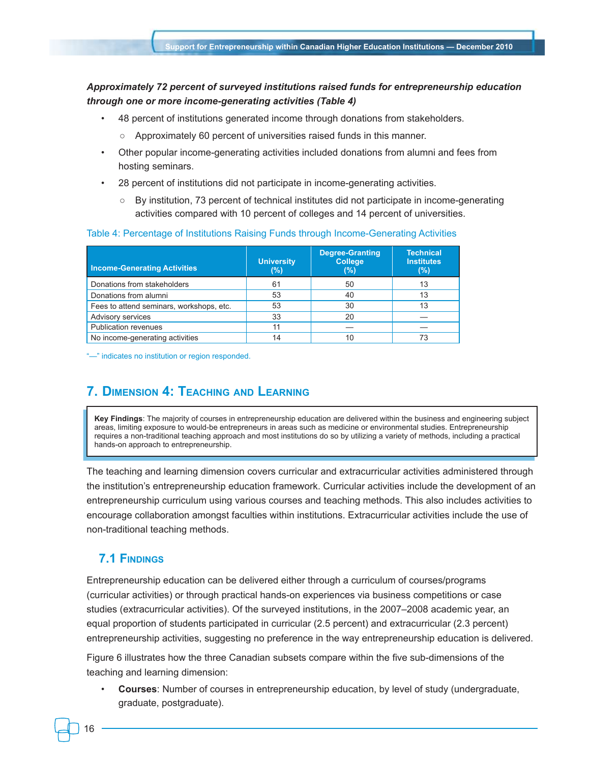### *Approximately 72 percent of surveyed institutions raised funds for entrepreneurship education through one or more income-generating activities (Table 4)*

- 48 percent of institutions generated income through donations from stakeholders.
	- Approximately 60 percent of universities raised funds in this manner.
- Other popular income-generating activities included donations from alumni and fees from hosting seminars.
- 28 percent of institutions did not participate in income-generating activities.
	- By institution, 73 percent of technical institutes did not participate in income-generating activities compared with 10 percent of colleges and 14 percent of universities.

#### Table 4: Percentage of Institutions Raising Funds through Income-Generating Activities

| <b>Income-Generating Activities</b>      | <b>University</b><br>(%) | <b>Degree-Granting</b><br><b>College</b><br>(%) | <b>Technical</b><br><b>Institutes</b><br>$(\%)$ |
|------------------------------------------|--------------------------|-------------------------------------------------|-------------------------------------------------|
| Donations from stakeholders              | 61                       | 50                                              | 13                                              |
| Donations from alumni                    | 53                       | 40                                              | 13                                              |
| Fees to attend seminars, workshops, etc. | 53                       | 30                                              | 13                                              |
| Advisory services                        | 33                       | 20                                              |                                                 |
| <b>Publication revenues</b>              | 11                       |                                                 |                                                 |
| No income-generating activities          | 14                       |                                                 |                                                 |

"—" indicates no institution or region responded.

# **7. Dimension 4: Teaching and Learning**

**Key Findings**: The majority of courses in entrepreneurship education are delivered within the business and engineering subject areas, limiting exposure to would-be entrepreneurs in areas such as medicine or environmental studies. Entrepreneurship requires a non-traditional teaching approach and most institutions do so by utilizing a variety of methods, including a practical hands-on approach to entrepreneurship.

The teaching and learning dimension covers curricular and extracurricular activities administered through the institution's entrepreneurship education framework. Curricular activities include the development of an entrepreneurship curriculum using various courses and teaching methods. This also includes activities to encourage collaboration amongst faculties within institutions. Extracurricular activities include the use of non-traditional teaching methods.

# **7.1 Findings**

16

Entrepreneurship education can be delivered either through a curriculum of courses/programs (curricular activities) or through practical hands-on experiences via business competitions or case studies (extracurricular activities). Of the surveyed institutions, in the 2007–2008 academic year, an equal proportion of students participated in curricular (2.5 percent) and extracurricular (2.3 percent) entrepreneurship activities, suggesting no preference in the way entrepreneurship education is delivered.

Figure 6 illustrates how the three Canadian subsets compare within the five sub-dimensions of the teaching and learning dimension:

• **Courses**: Number of courses in entrepreneurship education, by level of study (undergraduate, graduate, postgraduate).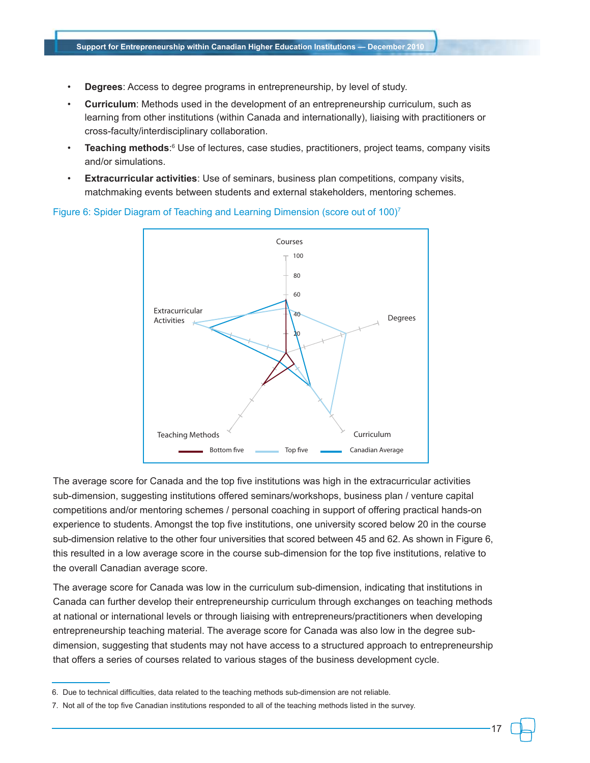- **Degrees**: Access to degree programs in entrepreneurship, by level of study.
- **Curriculum**: Methods used in the development of an entrepreneurship curriculum, such as learning from other institutions (within Canada and internationally), liaising with practitioners or cross-faculty/interdisciplinary collaboration.
- **Teaching methods**:<sup>6</sup> Use of lectures, case studies, practitioners, project teams, company visits and/or simulations.
- **Extracurricular activities**: Use of seminars, business plan competitions, company visits, matchmaking events between students and external stakeholders, mentoring schemes.



Figure 6: Spider Diagram of Teaching and Learning Dimension (score out of 100)<sup>7</sup>

The average score for Canada and the top five institutions was high in the extracurricular activities sub-dimension, suggesting institutions offered seminars/workshops, business plan / venture capital competitions and/or mentoring schemes / personal coaching in support of offering practical hands-on experience to students. Amongst the top five institutions, one university scored below 20 in the course sub-dimension relative to the other four universities that scored between 45 and 62. As shown in Figure 6, this resulted in a low average score in the course sub-dimension for the top five institutions, relative to the overall Canadian average score.

The average score for Canada was low in the curriculum sub-dimension, indicating that institutions in Canada can further develop their entrepreneurship curriculum through exchanges on teaching methods at national or international levels or through liaising with entrepreneurs/practitioners when developing entrepreneurship teaching material. The average score for Canada was also low in the degree subdimension, suggesting that students may not have access to a structured approach to entrepreneurship that offers a series of courses related to various stages of the business development cycle.

<sup>6.</sup> Due to technical difficulties, data related to the teaching methods sub-dimension are not reliable.

<sup>7.</sup> Not all of the top five Canadian institutions responded to all of the teaching methods listed in the survey.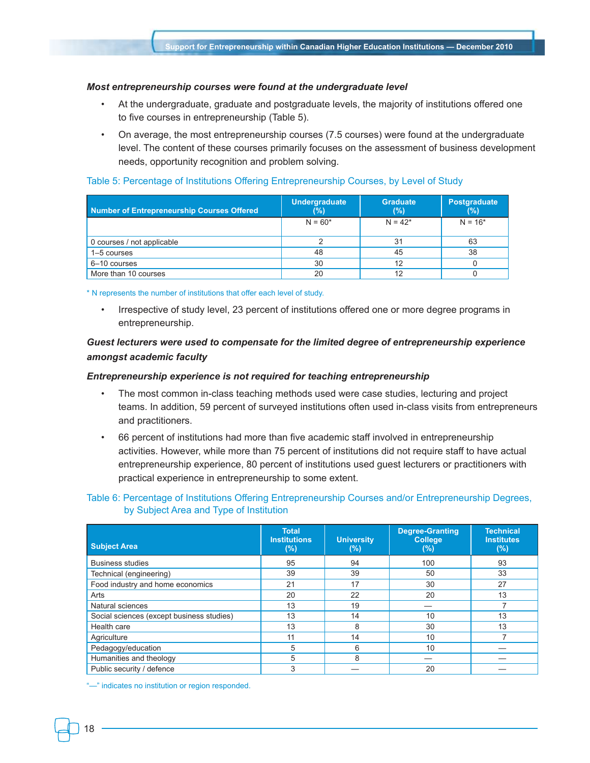#### *Most entrepreneurship courses were found at the undergraduate level*

- At the undergraduate, graduate and postgraduate levels, the majority of institutions offered one to five courses in entrepreneurship (Table 5).
- On average, the most entrepreneurship courses (7.5 courses) were found at the undergraduate level. The content of these courses primarily focuses on the assessment of business development needs, opportunity recognition and problem solving.

#### Table 5: Percentage of Institutions Offering Entrepreneurship Courses, by Level of Study

| Number of Entrepreneurship Courses Offered | <b>Undergraduate</b><br>(%) | <b>Graduate</b><br>(%) | Postgraduate<br>(%) |
|--------------------------------------------|-----------------------------|------------------------|---------------------|
|                                            | $N = 60*$                   | $N = 42*$              | $N = 16*$           |
| 0 courses / not applicable                 |                             | 31                     | 63                  |
| 1-5 courses                                | 48                          | 45                     | 38                  |
| 6-10 courses                               | 30                          | 12                     |                     |
| More than 10 courses                       | 20                          | 12                     |                     |

\* N represents the number of institutions that offer each level of study.

• Irrespective of study level, 23 percent of institutions offered one or more degree programs in entrepreneurship.

### *Guest lecturers were used to compensate for the limited degree of entrepreneurship experience amongst academic faculty*

#### *Entrepreneurship experience is not required for teaching entrepreneurship*

- The most common in-class teaching methods used were case studies, lecturing and project teams. In addition, 59 percent of surveyed institutions often used in-class visits from entrepreneurs and practitioners.
- 66 percent of institutions had more than five academic staff involved in entrepreneurship activities. However, while more than 75 percent of institutions did not require staff to have actual entrepreneurship experience, 80 percent of institutions used guest lecturers or practitioners with practical experience in entrepreneurship to some extent.

### Table 6: Percentage of Institutions Offering Entrepreneurship Courses and/or Entrepreneurship Degrees, by Subject Area and Type of Institution

| <b>Subject Area</b>                       | <b>Total</b><br><b>Institutions</b><br>$(\%)$ | <b>University</b><br>$(\%)$ | <b>Degree-Granting</b><br><b>College</b><br>(%) | <b>Technical</b><br><b>Institutes</b><br>(% ) |
|-------------------------------------------|-----------------------------------------------|-----------------------------|-------------------------------------------------|-----------------------------------------------|
| <b>Business studies</b>                   | 95                                            | 94                          | 100                                             | 93                                            |
| Technical (engineering)                   | 39                                            | 39                          | 50                                              | 33                                            |
| Food industry and home economics          | 21                                            | 17                          | 30                                              | 27                                            |
| Arts                                      | 20                                            | 22                          | 20                                              | 13                                            |
| Natural sciences                          | 13                                            | 19                          |                                                 |                                               |
| Social sciences (except business studies) | 13                                            | 14                          | 10                                              | 13                                            |
| Health care                               | 13                                            | 8                           | 30                                              | 13                                            |
| Agriculture                               | 11                                            | 14                          | 10                                              |                                               |
| Pedagogy/education                        | 5                                             | 6                           | 10                                              |                                               |
| Humanities and theology                   | 5                                             | 8                           |                                                 |                                               |
| Public security / defence                 | 3                                             |                             | 20                                              |                                               |

"—" indicates no institution or region responded.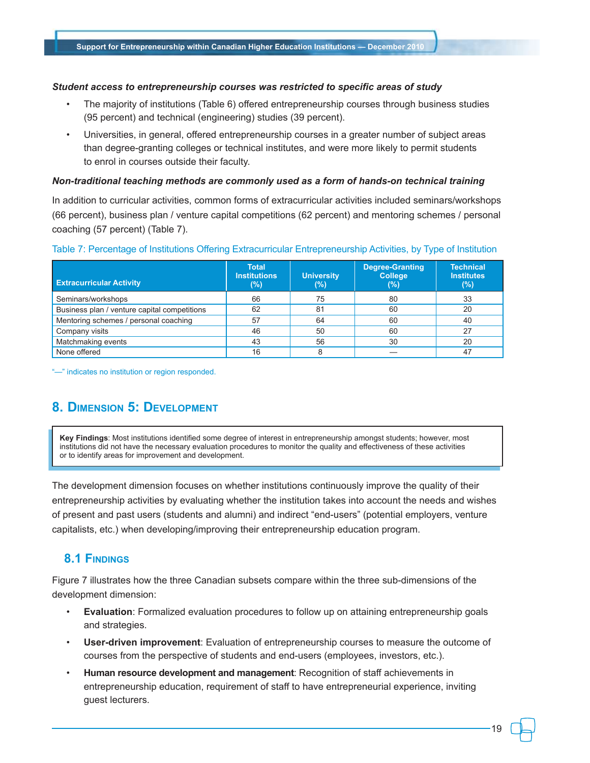#### *Student access to entrepreneurship courses was restricted to specific areas of study*

- The majority of institutions (Table 6) offered entrepreneurship courses through business studies (95 percent) and technical (engineering) studies (39 percent).
- Universities, in general, offered entrepreneurship courses in a greater number of subject areas than degree-granting colleges or technical institutes, and were more likely to permit students to enrol in courses outside their faculty.

#### *Non-traditional teaching methods are commonly used as a form of hands-on technical training*

In addition to curricular activities, common forms of extracurricular activities included seminars/workshops (66 percent), business plan / venture capital competitions (62 percent) and mentoring schemes / personal coaching (57 percent) (Table 7).

#### Table 7: Percentage of Institutions Offering Extracurricular Entrepreneurship Activities, by Type of Institution

| <b>Extracurricular Activity</b>              | <b>Total</b><br><b>Institutions</b><br>(%) | <b>University</b><br>(%) | <b>Degree-Granting</b><br><b>College</b><br>(%) | <b>Technical</b><br><b>Institutes</b><br>(%) |
|----------------------------------------------|--------------------------------------------|--------------------------|-------------------------------------------------|----------------------------------------------|
| Seminars/workshops                           | 66                                         | 75                       | 80                                              | 33                                           |
| Business plan / venture capital competitions | 62                                         | 81                       | 60                                              | 20                                           |
| Mentoring schemes / personal coaching        | 57                                         | 64                       | 60                                              | 40                                           |
| Company visits                               | 46                                         | 50                       | 60                                              | 27                                           |
| Matchmaking events                           | 43                                         | 56                       | 30                                              | 20                                           |
| None offered                                 | 16                                         | 8                        |                                                 | 47                                           |

"—" indicates no institution or region responded.

# **8. Dimension 5: Development**

**Key Findings**: Most institutions identified some degree of interest in entrepreneurship amongst students; however, most institutions did not have the necessary evaluation procedures to monitor the quality and effectiveness of these activities or to identify areas for improvement and development.

The development dimension focuses on whether institutions continuously improve the quality of their entrepreneurship activities by evaluating whether the institution takes into account the needs and wishes of present and past users (students and alumni) and indirect "end-users" (potential employers, venture capitalists, etc.) when developing/improving their entrepreneurship education program.

# **8.1 Findings**

Figure 7 illustrates how the three Canadian subsets compare within the three sub-dimensions of the development dimension:

- **Evaluation**: Formalized evaluation procedures to follow up on attaining entrepreneurship goals and strategies.
- **User-driven improvement**: Evaluation of entrepreneurship courses to measure the outcome of courses from the perspective of students and end-users (employees, investors, etc.).
- **Human resource development and management**: Recognition of staff achievements in entrepreneurship education, requirement of staff to have entrepreneurial experience, inviting guest lecturers.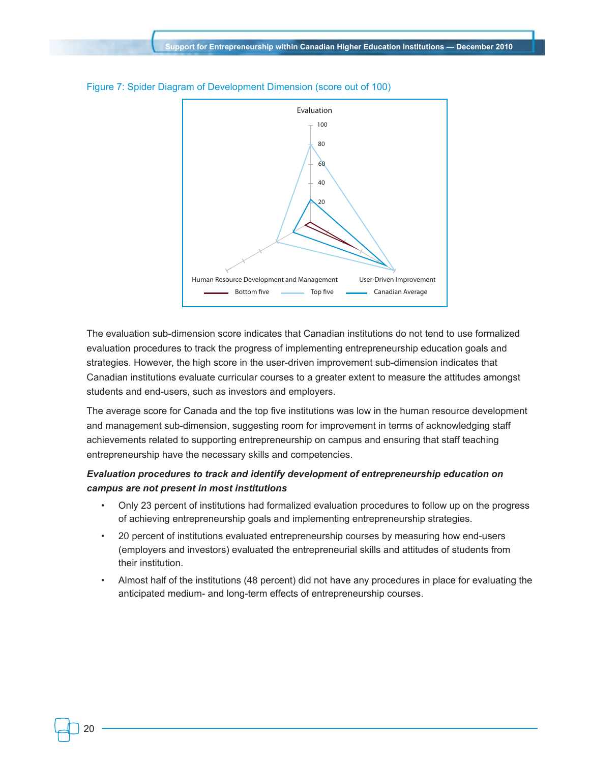

#### Figure 7: Spider Diagram of Development Dimension (score out of 100)

The evaluation sub-dimension score indicates that Canadian institutions do not tend to use formalized evaluation procedures to track the progress of implementing entrepreneurship education goals and strategies. However, the high score in the user-driven improvement sub-dimension indicates that Canadian institutions evaluate curricular courses to a greater extent to measure the attitudes amongst students and end-users, such as investors and employers.

The average score for Canada and the top five institutions was low in the human resource development and management sub-dimension, suggesting room for improvement in terms of acknowledging staff achievements related to supporting entrepreneurship on campus and ensuring that staff teaching entrepreneurship have the necessary skills and competencies.

### *Evaluation procedures to track and identify development of entrepreneurship education on campus are not present in most institutions*

- Only 23 percent of institutions had formalized evaluation procedures to follow up on the progress of achieving entrepreneurship goals and implementing entrepreneurship strategies.
- 20 percent of institutions evaluated entrepreneurship courses by measuring how end-users (employers and investors) evaluated the entrepreneurial skills and attitudes of students from their institution.
- Almost half of the institutions (48 percent) did not have any procedures in place for evaluating the anticipated medium- and long-term effects of entrepreneurship courses.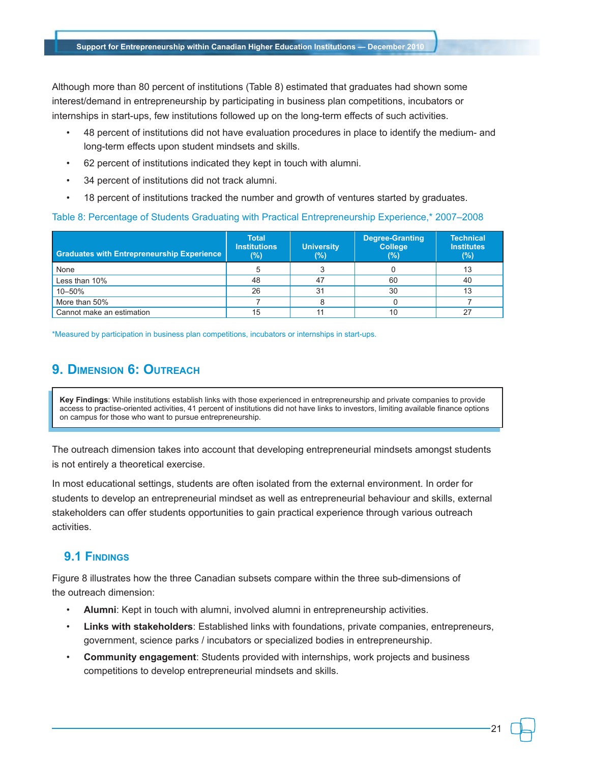Although more than 80 percent of institutions (Table 8) estimated that graduates had shown some interest/demand in entrepreneurship by participating in business plan competitions, incubators or internships in start-ups, few institutions followed up on the long-term effects of such activities.

- 48 percent of institutions did not have evaluation procedures in place to identify the medium- and long-term effects upon student mindsets and skills.
- 62 percent of institutions indicated they kept in touch with alumni.
- 34 percent of institutions did not track alumni.
- 18 percent of institutions tracked the number and growth of ventures started by graduates.

### Table 8: Percentage of Students Graduating with Practical Entrepreneurship Experience,\* 2007–2008

| <b>Graduates with Entrepreneurship Experience</b> | <b>Total</b><br><b>Institutions</b><br>$(\%)$ | <b>University</b><br>(%) | <b>Degree-Granting</b><br><b>College</b><br>(%) | <b>Technical</b><br><b>Institutes</b><br>(%) |
|---------------------------------------------------|-----------------------------------------------|--------------------------|-------------------------------------------------|----------------------------------------------|
| None                                              |                                               |                          |                                                 | 13                                           |
| Less than 10%                                     | 48                                            | 47                       | 60                                              | 40                                           |
| 10-50%                                            | 26                                            | 31                       | 30                                              | 13                                           |
| More than 50%                                     |                                               |                          |                                                 |                                              |
| Cannot make an estimation                         | 15                                            | 11                       | 10                                              |                                              |

\*Measured by participation in business plan competitions, incubators or internships in start-ups.

# **9. Dimension 6: Outreach**

**Key Findings**: While institutions establish links with those experienced in entrepreneurship and private companies to provide access to practise-oriented activities, 41 percent of institutions did not have links to investors, limiting available finance options on campus for those who want to pursue entrepreneurship.

The outreach dimension takes into account that developing entrepreneurial mindsets amongst students is not entirely a theoretical exercise.

In most educational settings, students are often isolated from the external environment. In order for students to develop an entrepreneurial mindset as well as entrepreneurial behaviour and skills, external stakeholders can offer students opportunities to gain practical experience through various outreach activities.

# **9.1 Findings**

Figure 8 illustrates how the three Canadian subsets compare within the three sub-dimensions of the outreach dimension:

- **Alumni**: Kept in touch with alumni, involved alumni in entrepreneurship activities.
- **Links with stakeholders**: Established links with foundations, private companies, entrepreneurs, government, science parks / incubators or specialized bodies in entrepreneurship.
- **Community engagement**: Students provided with internships, work projects and business competitions to develop entrepreneurial mindsets and skills.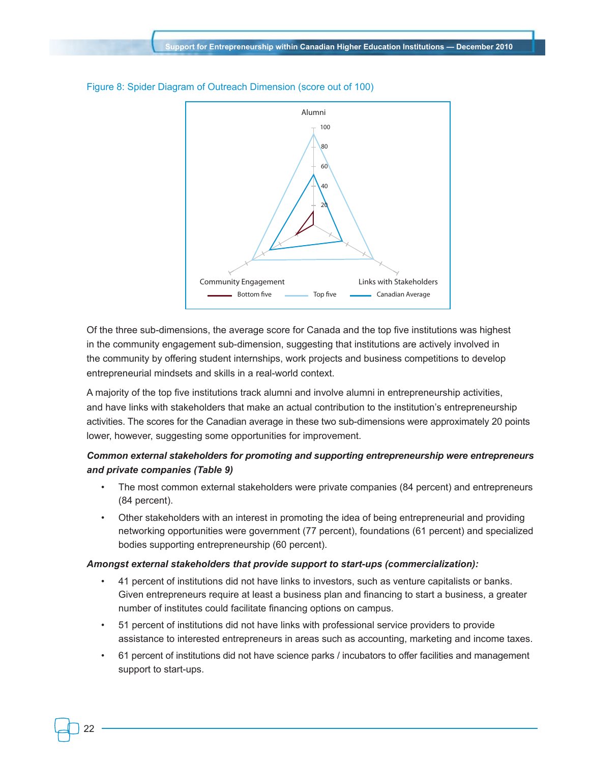

Figure 8: Spider Diagram of Outreach Dimension (score out of 100)

Of the three sub-dimensions, the average score for Canada and the top five institutions was highest in the community engagement sub-dimension, suggesting that institutions are actively involved in the community by offering student internships, work projects and business competitions to develop entrepreneurial mindsets and skills in a real-world context.

A majority of the top five institutions track alumni and involve alumni in entrepreneurship activities, and have links with stakeholders that make an actual contribution to the institution's entrepreneurship activities. The scores for the Canadian average in these two sub-dimensions were approximately 20 points lower, however, suggesting some opportunities for improvement.

## *Common external stakeholders for promoting and supporting entrepreneurship were entrepreneurs and private companies (Table 9)*

- The most common external stakeholders were private companies (84 percent) and entrepreneurs (84 percent).
- Other stakeholders with an interest in promoting the idea of being entrepreneurial and providing networking opportunities were government (77 percent), foundations (61 percent) and specialized bodies supporting entrepreneurship (60 percent).

#### *Amongst external stakeholders that provide support to start-ups (commercialization):*

- 41 percent of institutions did not have links to investors, such as venture capitalists or banks. Given entrepreneurs require at least a business plan and financing to start a business, a greater number of institutes could facilitate financing options on campus.
- 51 percent of institutions did not have links with professional service providers to provide assistance to interested entrepreneurs in areas such as accounting, marketing and income taxes.
- 61 percent of institutions did not have science parks / incubators to offer facilities and management support to start-ups.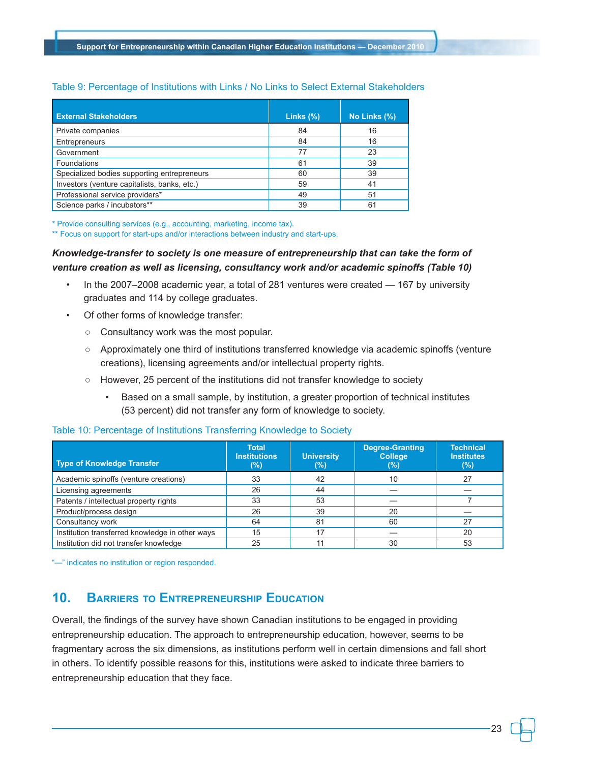### Table 9: Percentage of Institutions with Links / No Links to Select External Stakeholders

| <b>External Stakeholders</b>                 | Links (%) | No Links (%) |
|----------------------------------------------|-----------|--------------|
| Private companies                            | 84        | 16           |
| Entrepreneurs                                | 84        | 16           |
| Government                                   | 77        | 23           |
| Foundations                                  | 61        | 39           |
| Specialized bodies supporting entrepreneurs  | 60        | 39           |
| Investors (venture capitalists, banks, etc.) | 59        | 41           |
| Professional service providers*              | 49        | 51           |
| Science parks / incubators**                 | 39        | 61           |

\* Provide consulting services (e.g., accounting, marketing, income tax).

\*\* Focus on support for start-ups and/or interactions between industry and start-ups.

### *Knowledge-transfer to society is one measure of entrepreneurship that can take the form of venture creation as well as licensing, consultancy work and/or academic spinoffs (Table 10)*

- In the 2007–2008 academic year, a total of 281 ventures were created 167 by university graduates and 114 by college graduates.
- Of other forms of knowledge transfer:
	- Consultancy work was the most popular.
	- Approximately one third of institutions transferred knowledge via academic spinoffs (venture creations), licensing agreements and/or intellectual property rights.
	- However, 25 percent of the institutions did not transfer knowledge to society
		- Based on a small sample, by institution, a greater proportion of technical institutes (53 percent) did not transfer any form of knowledge to society.

### Table 10: Percentage of Institutions Transferring Knowledge to Society

| <b>Type of Knowledge Transfer</b>               | <b>Total</b><br><b>Institutions</b><br>(%) | <b>University</b><br>(%) | <b>Degree-Granting</b><br><b>College</b><br>(%) | <b>Technical</b><br><b>Institutes</b><br>(%) |
|-------------------------------------------------|--------------------------------------------|--------------------------|-------------------------------------------------|----------------------------------------------|
| Academic spinoffs (venture creations)           | 33                                         | 42                       | 10                                              | 27                                           |
| Licensing agreements                            | 26                                         | 44                       |                                                 |                                              |
| Patents / intellectual property rights          | 33                                         | 53                       |                                                 |                                              |
| Product/process design                          | 26                                         | 39                       | 20                                              |                                              |
| Consultancy work                                | 64                                         | 81                       | 60                                              | 27                                           |
| Institution transferred knowledge in other ways | 15                                         | 17                       |                                                 | 20                                           |
| Institution did not transfer knowledge          | 25                                         | 11                       | 30                                              | 53                                           |

"—" indicates no institution or region responded.

# **10. Barriers to Entrepreneurship Education**

Overall, the findings of the survey have shown Canadian institutions to be engaged in providing entrepreneurship education. The approach to entrepreneurship education, however, seems to be fragmentary across the six dimensions, as institutions perform well in certain dimensions and fall short in others. To identify possible reasons for this, institutions were asked to indicate three barriers to entrepreneurship education that they face.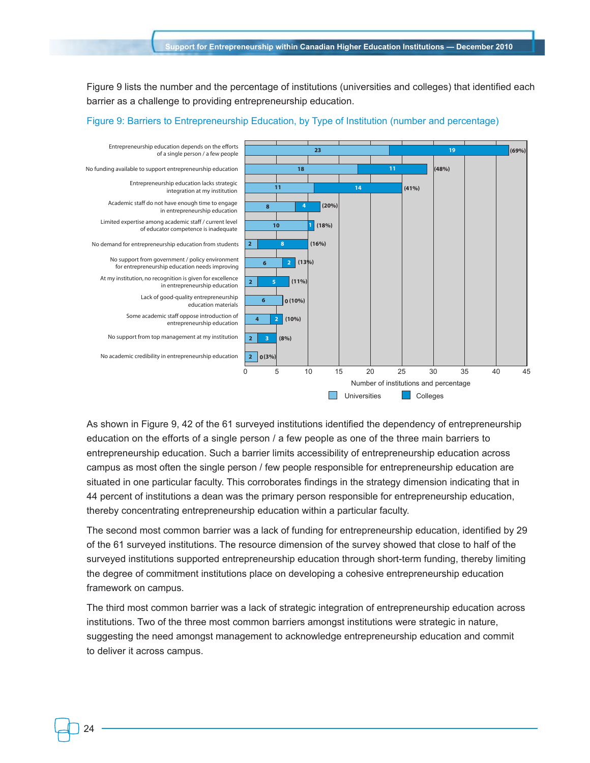Figure 9 lists the number and the percentage of institutions (universities and colleges) that identified each barrier as a challenge to providing entrepreneurship education.



Figure 9: Barriers to Entrepreneurship Education, by Type of Institution (number and percentage)

As shown in Figure 9, 42 of the 61 surveyed institutions identified the dependency of entrepreneurship education on the efforts of a single person / a few people as one of the three main barriers to entrepreneurship education. Such a barrier limits accessibility of entrepreneurship education across campus as most often the single person / few people responsible for entrepreneurship education are situated in one particular faculty. This corroborates findings in the strategy dimension indicating that in 44 percent of institutions a dean was the primary person responsible for entrepreneurship education, thereby concentrating entrepreneurship education within a particular faculty.

The second most common barrier was a lack of funding for entrepreneurship education, identified by 29 of the 61 surveyed institutions. The resource dimension of the survey showed that close to half of the surveyed institutions supported entrepreneurship education through short-term funding, thereby limiting the degree of commitment institutions place on developing a cohesive entrepreneurship education framework on campus.

The third most common barrier was a lack of strategic integration of entrepreneurship education across institutions. Two of the three most common barriers amongst institutions were strategic in nature, suggesting the need amongst management to acknowledge entrepreneurship education and commit to deliver it across campus.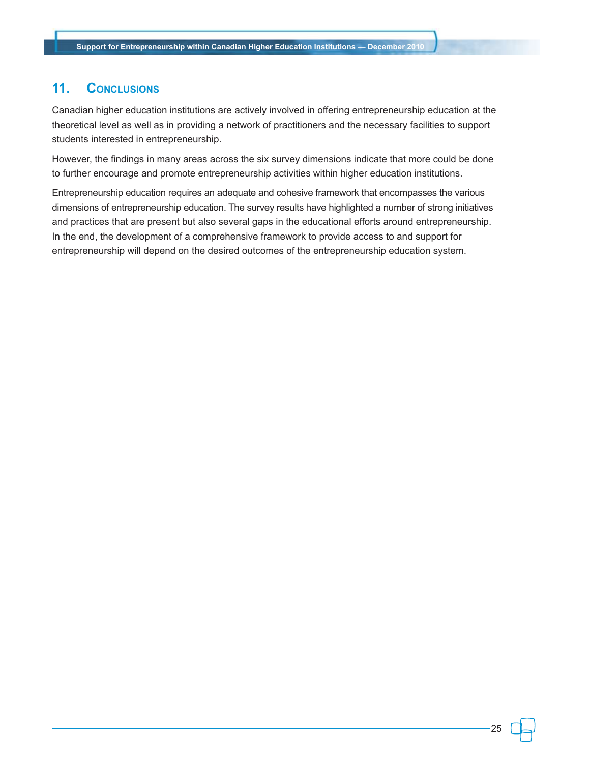# **11. Conclusions**

Canadian higher education institutions are actively involved in offering entrepreneurship education at the theoretical level as well as in providing a network of practitioners and the necessary facilities to support students interested in entrepreneurship.

However, the findings in many areas across the six survey dimensions indicate that more could be done to further encourage and promote entrepreneurship activities within higher education institutions.

Entrepreneurship education requires an adequate and cohesive framework that encompasses the various dimensions of entrepreneurship education. The survey results have highlighted a number of strong initiatives and practices that are present but also several gaps in the educational efforts around entrepreneurship. In the end, the development of a comprehensive framework to provide access to and support for entrepreneurship will depend on the desired outcomes of the entrepreneurship education system.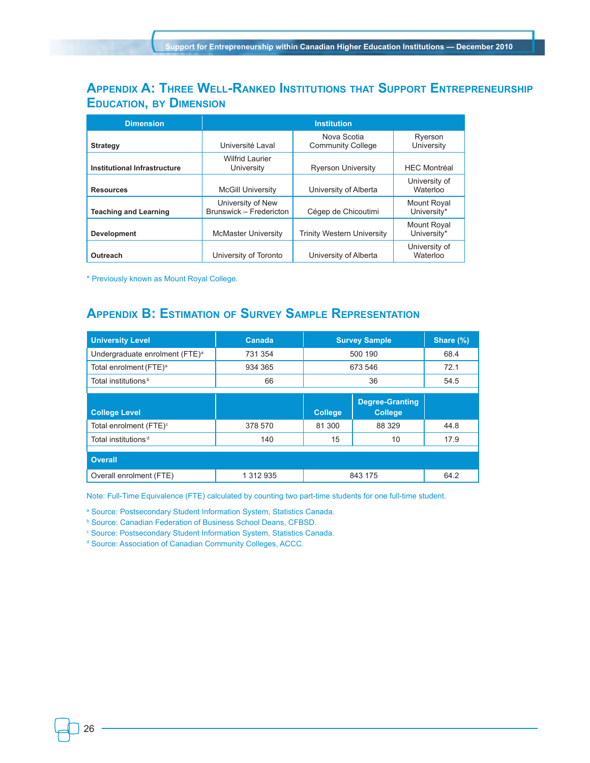# **Appendix A: Three Well-Ranked Institutions that Support Entrepreneurship Education, by Dimension**

| <b>Dimension</b>             |                                              |                                         |                                   |
|------------------------------|----------------------------------------------|-----------------------------------------|-----------------------------------|
| <b>Strategy</b>              | Université Laval                             | Nova Scotia<br><b>Community College</b> | Ryerson<br>University             |
| Institutional Infrastructure | <b>Wilfrid Laurier</b><br>University         | <b>Ryerson University</b>               | <b>HEC Montréal</b>               |
| <b>Resources</b>             | <b>McGill University</b>                     | University of Alberta                   | University of<br>Waterloo         |
| <b>Teaching and Learning</b> | University of New<br>Brunswick - Fredericton | Cégep de Chicoutimi                     | <b>Mount Royal</b><br>University* |
| <b>Development</b>           | <b>McMaster University</b>                   | Trinity Western University              | <b>Mount Royal</b><br>University* |
| Outreach                     | University of Toronto                        | University of Alberta                   | University of<br>Waterloo         |

\* Previously known as Mount Royal College.

# **Appendix B: Estimation of Survey Sample Representation**

| <b>University Level</b>                    | Canada    | <b>Survey Sample</b> |                                          | Share (%) |
|--------------------------------------------|-----------|----------------------|------------------------------------------|-----------|
| Undergraduate enrolment (FTE) <sup>a</sup> | 731 354   | 500 190              |                                          | 68.4      |
| Total enrolment (FTE) <sup>a</sup>         | 934 365   | 673 546              |                                          | 72.1      |
| Total institutions <sup>b</sup>            | 66        | 36                   |                                          | 54.5      |
|                                            |           |                      |                                          |           |
| <b>College Level</b>                       |           | <b>College</b>       | <b>Degree-Granting</b><br><b>College</b> |           |
| Total enrolment (FTE) <sup>c</sup>         | 378 570   | 81 300               | 88 329                                   | 44.8      |
| Total institutions <sup>d</sup>            | 140       | 15                   | 10                                       | 17.9      |
|                                            |           |                      |                                          |           |
| <b>Overall</b>                             |           |                      |                                          |           |
| Overall enrolment (FTE)                    | 1 312 935 | 843 175              |                                          | 64.2      |

Note: Full-Time Equivalence (FTE) calculated by counting two part-time students for one full-time student.

a Source: Postsecondary Student Information System, Statistics Canada.

b Source: Canadian Federation of Business School Deans, CFBSD.

c Source: Postsecondary Student Information System, Statistics Canada.

d Source: Association of Canadian Community Colleges, ACCC.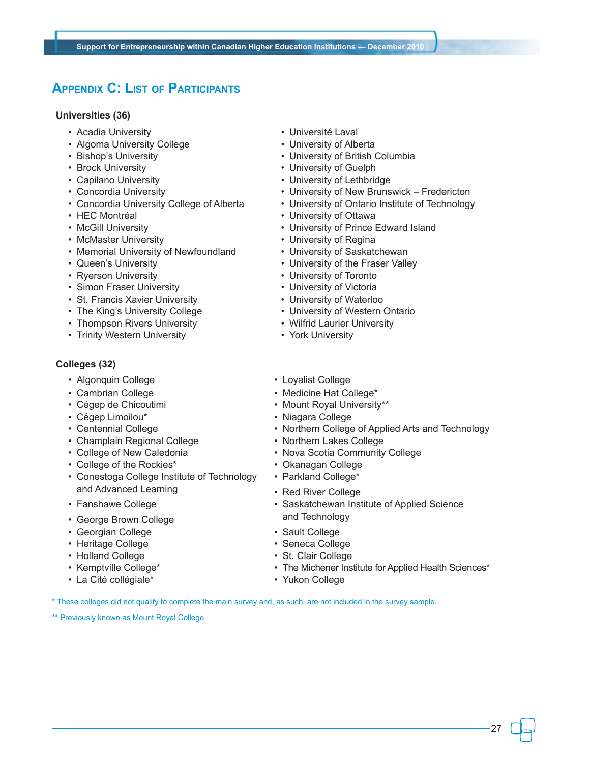# **Appendix C: List of Participants**

### **Universities (36)**

- Acadia University  **Independent Contract Contract Contract Contract Contract Contract Contract Contract Contract Contract Contract Contract Contract Contract Contract Contract Contract Contract Contract Contract Contrac**
- Algoma University College **Figure 1** University of Alberta
- 
- 
- 
- 
- 
- 
- 
- McMaster University  **Community 1998** University of Regina
- Memorial University of Newfoundland University of Saskatchewan
- 
- 
- Simon Fraser University University of Victoria
- St. Francis Xavier University University of Waterloo
- The King's University College  **University of Western Ontario**
- Thompson Rivers University  **Provident Containst Provident** Wilfrid Laurier University
- Trinity Western University  **York University**

### **Colleges (32)**

- Algonquin College  **Loyalist College**
- 
- 
- 
- 
- Champlain Regional College Northern Lakes College
- 
- College of the Rockies\* Okanagan College
- Conestoga College Institute of Technology and Advanced Learning
- Fanshawe College
- George Brown College
- Georgian College  **Sault College**
- Heritage College  **Seneca College**
- 
- 
- La Cité collégiale\* Yukon College
- 
- 
- Bishop's University  **University of British Columbia**
- Brock University  **Community University of Guelph**
- Capilano University  **Capilano University of Lethbridge**
- Concordia University  **University of New Brunswick Fredericton**
- Concordia University College of Alberta University of Ontario Institute of Technology
- HEC Montréal University of Ottawa
- McGill University  **University of Prince Edward Island** 
	-
	-
- Queen's University  **Constant Constant Intervelle University of the Fraser Valley**
- Ryerson University  **Community Figure 1** + University of Toronto
	-
	-
	-
	-
	-
	-
- Cambrian College  **Medicine Hat College** Medicine Hat College •
- Cégep de Chicoutimi • Mount Royal University\*\*
- Cégep Limoilou\* Niagara College
- Centennial College  **Northern College of Applied Arts and Technology** 
	-
- College of New Caledonia Nova Scotia Community College
	-
	- Parkland College\*
	- Red River College
	- Saskatchewan Institute of Applied Science and Technology
	-
	-
- Holland College  **St. Clair College**
- Kemptville College\* The Michener Institute for Applied Health Sciences\*
	-

\* These colleges did not qualify to complete the main survey and, as such, are not included in the survey sample.

\*\* Previously known as Mount Royal College.